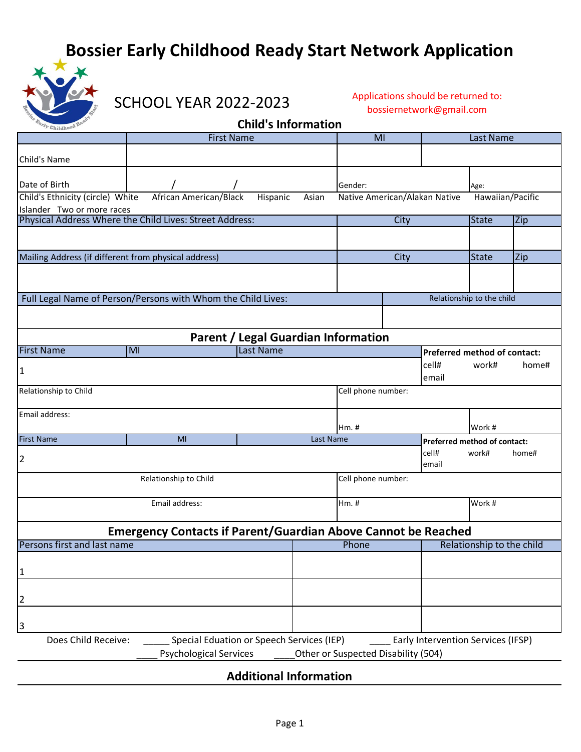## **Bossier Early Childhood Ready Start Network Application**



SCHOOL YEAR 2022-2023

Applications should be returned to: bossiernetwork@gmail.com

## **Child's Information**

|                                                                                                                                      | <b>First Name</b>                                            |           | MI |                           | Last Name          |                              |                                        |       |  |  |  |
|--------------------------------------------------------------------------------------------------------------------------------------|--------------------------------------------------------------|-----------|----|---------------------------|--------------------|------------------------------|----------------------------------------|-------|--|--|--|
| Child's Name                                                                                                                         |                                                              |           |    |                           |                    |                              |                                        |       |  |  |  |
| Date of Birth                                                                                                                        |                                                              |           |    | Gender:                   |                    |                              | Age:                                   |       |  |  |  |
| Child's Ethnicity (circle) White<br>African American/Black<br>Native American/Alakan Native<br>Hawaiian/Pacific<br>Hispanic<br>Asian |                                                              |           |    |                           |                    |                              |                                        |       |  |  |  |
| Islander Two or more races<br>Physical Address Where the Child Lives: Street Address:                                                |                                                              |           |    | City                      |                    |                              | <b>State</b>                           | Zip   |  |  |  |
|                                                                                                                                      |                                                              |           |    |                           |                    |                              |                                        |       |  |  |  |
| Mailing Address (if different from physical address)                                                                                 |                                                              |           |    | City                      |                    |                              | <b>State</b>                           | Zip   |  |  |  |
|                                                                                                                                      |                                                              |           |    |                           |                    |                              |                                        |       |  |  |  |
|                                                                                                                                      | Full Legal Name of Person/Persons with Whom the Child Lives: |           |    | Relationship to the child |                    |                              |                                        |       |  |  |  |
|                                                                                                                                      |                                                              |           |    |                           |                    |                              |                                        |       |  |  |  |
| Parent / Legal Guardian Information                                                                                                  |                                                              |           |    |                           |                    |                              |                                        |       |  |  |  |
| <b>First Name</b>                                                                                                                    | MI                                                           | Last Name |    |                           |                    | Preferred method of contact: |                                        |       |  |  |  |
| $\mathbf{1}$                                                                                                                         |                                                              |           |    |                           |                    | cell#<br>email               | work#                                  | home# |  |  |  |
| Relationship to Child                                                                                                                |                                                              |           |    |                           | Cell phone number: |                              |                                        |       |  |  |  |
| Email address:                                                                                                                       |                                                              |           |    |                           |                    |                              |                                        |       |  |  |  |
| <b>First Name</b>                                                                                                                    | MI<br>Last Name                                              |           |    | Hm.#                      |                    |                              | Work #<br>Preferred method of contact: |       |  |  |  |
| $\overline{2}$                                                                                                                       |                                                              |           |    | cell#<br>email            | work#              | home#                        |                                        |       |  |  |  |
| Relationship to Child                                                                                                                |                                                              |           |    | Cell phone number:        |                    |                              |                                        |       |  |  |  |
| Email address:                                                                                                                       |                                                              |           |    | Hm. #                     |                    |                              | Work #                                 |       |  |  |  |
| <b>Emergency Contacts if Parent/Guardian Above Cannot be Reached</b>                                                                 |                                                              |           |    |                           |                    |                              |                                        |       |  |  |  |
| Persons first and last name                                                                                                          |                                                              |           |    | Phone                     |                    |                              | Relationship to the child              |       |  |  |  |
| $\mathbf{1}$                                                                                                                         |                                                              |           |    |                           |                    |                              |                                        |       |  |  |  |
| $\overline{2}$                                                                                                                       |                                                              |           |    |                           |                    |                              |                                        |       |  |  |  |
| 3                                                                                                                                    |                                                              |           |    |                           |                    |                              |                                        |       |  |  |  |
| Does Child Receive:<br>Special Eduation or Speech Services (IEP)<br>Early Intervention Services (IFSP)                               |                                                              |           |    |                           |                    |                              |                                        |       |  |  |  |
| Other or Suspected Disability (504)<br><b>Psychological Services</b>                                                                 |                                                              |           |    |                           |                    |                              |                                        |       |  |  |  |

## **Additional Information**